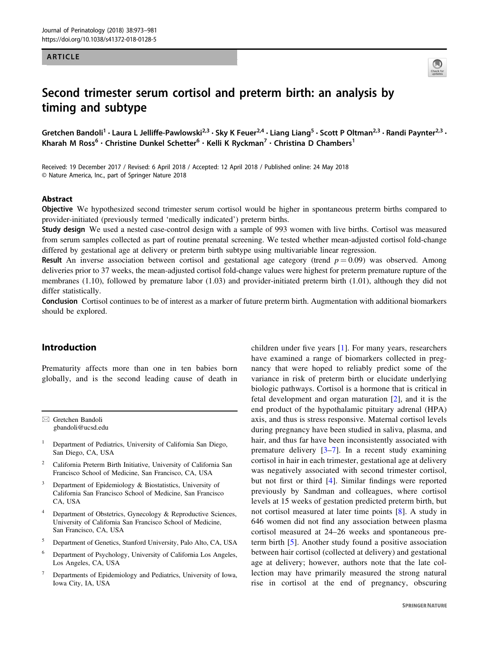#### ARTICLE



# Second trimester serum cortisol and preterm birth: an analysis by timing and subtype

Gretchen Bandoli<sup>1</sup> • Laura L Jelliffe-Pawlowski<sup>2,3</sup> • Sky K Feuer<sup>2,4</sup> • Liang Liang<sup>5</sup> • Scott P Oltman<sup>2,3</sup> • Randi Paynter<sup>2,3</sup> • Kharah M Ross<sup>6</sup> · Christine Dunkel Schetter<sup>6</sup> · Kelli K Ryckman<sup>7</sup> · Christina D Chambers<sup>1</sup>

Received: 19 December 2017 / Revised: 6 April 2018 / Accepted: 12 April 2018 / Published online: 24 May 2018 © Nature America, Inc., part of Springer Nature 2018

# Abstract

Objective We hypothesized second trimester serum cortisol would be higher in spontaneous preterm births compared to provider-initiated (previously termed 'medically indicated') preterm births.

Study design We used a nested case-control design with a sample of 993 women with live births. Cortisol was measured from serum samples collected as part of routine prenatal screening. We tested whether mean-adjusted cortisol fold-change differed by gestational age at delivery or preterm birth subtype using multivariable linear regression.

**Result** An inverse association between cortisol and gestational age category (trend  $p = 0.09$ ) was observed. Among deliveries prior to 37 weeks, the mean-adjusted cortisol fold-change values were highest for preterm premature rupture of the membranes (1.10), followed by premature labor (1.03) and provider-initiated preterm birth (1.01), although they did not differ statistically.

Conclusion Cortisol continues to be of interest as a marker of future preterm birth. Augmentation with additional biomarkers should be explored.

# Introduction

Prematurity affects more than one in ten babies born globally, and is the second leading cause of death in

 $\boxtimes$  Gretchen Bandoli [gbandoli@ucsd.edu](mailto:gbandoli@ucsd.edu)

- <sup>1</sup> Department of Pediatrics, University of California San Diego, San Diego, CA, USA
- <sup>2</sup> California Preterm Birth Initiative, University of California San Francisco School of Medicine, San Francisco, CA, USA
- Department of Epidemiology & Biostatistics, University of California San Francisco School of Medicine, San Francisco CA, USA
- <sup>4</sup> Department of Obstetrics, Gynecology & Reproductive Sciences, University of California San Francisco School of Medicine, San Francisco, CA, USA
- <sup>5</sup> Department of Genetics, Stanford University, Palo Alto, CA, USA
- <sup>6</sup> Department of Psychology, University of California Los Angeles, Los Angeles, CA, USA
- <sup>7</sup> Departments of Epidemiology and Pediatrics, University of Iowa, Iowa City, IA, USA

children under five years [[1\]](#page-7-0). For many years, researchers have examined a range of biomarkers collected in pregnancy that were hoped to reliably predict some of the variance in risk of preterm birth or elucidate underlying biologic pathways. Cortisol is a hormone that is critical in fetal development and organ maturation [\[2](#page-7-0)], and it is the end product of the hypothalamic pituitary adrenal (HPA) axis, and thus is stress responsive. Maternal cortisol levels during pregnancy have been studied in saliva, plasma, and hair, and thus far have been inconsistently associated with premature delivery  $[3-7]$  $[3-7]$  $[3-7]$  $[3-7]$ . In a recent study examining cortisol in hair in each trimester, gestational age at delivery was negatively associated with second trimester cortisol, but not first or third [\[4\]](#page-7-0). Similar findings were reported previously by Sandman and colleagues, where cortisol levels at 15 weeks of gestation predicted preterm birth, but not cortisol measured at later time points [\[8](#page-7-0)]. A study in 646 women did not find any association between plasma cortisol measured at 24–26 weeks and spontaneous preterm birth [\[5\]](#page-7-0). Another study found a positive association between hair cortisol (collected at delivery) and gestational age at delivery; however, authors note that the late collection may have primarily measured the strong natural rise in cortisol at the end of pregnancy, obscuring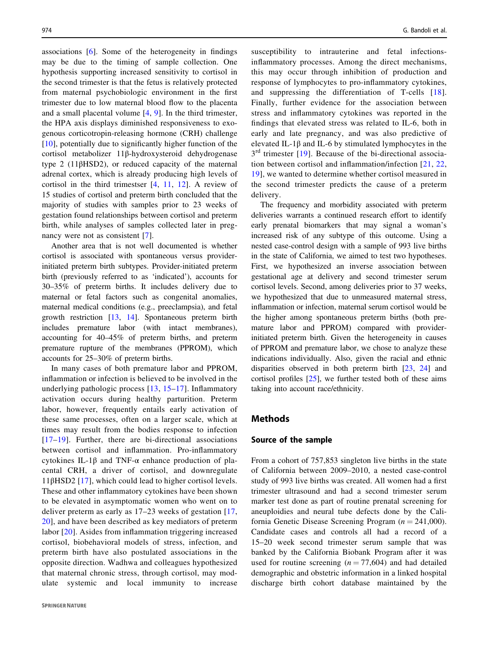associations [\[6](#page-7-0)]. Some of the heterogeneity in findings may be due to the timing of sample collection. One hypothesis supporting increased sensitivity to cortisol in the second trimester is that the fetus is relatively protected from maternal psychobiologic environment in the first trimester due to low maternal blood flow to the placenta and a small placental volume [\[4](#page-7-0), [9\]](#page-7-0). In the third trimester, the HPA axis displays diminished responsiveness to exogenous corticotropin-releasing hormone (CRH) challenge [\[10\]](#page-7-0), potentially due to significantly higher function of the cortisol metabolizer 11β-hydroxysteroid dehydrogenase type 2 (11βHSD2), or reduced capacity of the maternal adrenal cortex, which is already producing high levels of cortisol in the third trimestser [[4,](#page-7-0) [11](#page-7-0), [12](#page-7-0)]. A review of 15 studies of cortisol and preterm birth concluded that the majority of studies with samples prior to 23 weeks of gestation found relationships between cortisol and preterm birth, while analyses of samples collected later in pregnancy were not as consistent [[7\]](#page-7-0).

Another area that is not well documented is whether cortisol is associated with spontaneous versus providerinitiated preterm birth subtypes. Provider-initiated preterm birth (previously referred to as 'indicated'), accounts for 30–35% of preterm births. It includes delivery due to maternal or fetal factors such as congenital anomalies, maternal medical conditions (e.g., preeclampsia), and fetal growth restriction [\[13](#page-7-0), [14](#page-7-0)]. Spontaneous preterm birth includes premature labor (with intact membranes), accounting for 40–45% of preterm births, and preterm premature rupture of the membranes (PPROM), which accounts for 25–30% of preterm births.

In many cases of both premature labor and PPROM, inflammation or infection is believed to be involved in the underlying pathologic process [[13,](#page-7-0) [15](#page-7-0)–[17](#page-7-0)]. Inflammatory activation occurs during healthy parturition. Preterm labor, however, frequently entails early activation of these same processes, often on a larger scale, which at times may result from the bodies response to infection [\[17](#page-7-0)–[19](#page-7-0)]. Further, there are bi-directional associations between cortisol and inflammation. Pro-inflammatory cytokines IL-1β and TNF-α enhance production of placental CRH, a driver of cortisol, and downregulate 11βHSD2 [[17](#page-7-0)], which could lead to higher cortisol levels. These and other inflammatory cytokines have been shown to be elevated in asymptomatic women who went on to deliver preterm as early as 17–23 weeks of gestation [\[17,](#page-7-0) [20](#page-7-0)], and have been described as key mediators of preterm labor [[20](#page-7-0)]. Asides from inflammation triggering increased cortisol, biobehavioral models of stress, infection, and preterm birth have also postulated associations in the opposite direction. Wadhwa and colleagues hypothesized that maternal chronic stress, through cortisol, may modulate systemic and local immunity to increase susceptibility to intrauterine and fetal infectionsinflammatory processes. Among the direct mechanisms, this may occur through inhibition of production and response of lymphocytes to pro-inflammatory cytokines, and suppressing the differentiation of T-cells [[18](#page-7-0)]. Finally, further evidence for the association between stress and inflammatory cytokines was reported in the findings that elevated stress was related to IL-6, both in early and late pregnancy, and was also predictive of elevated IL-1β and IL-6 by stimulated lymphocytes in the  $3<sup>rd</sup>$  trimester [[19](#page-7-0)]. Because of the bi-directional association between cortisol and inflammation/infection [\[21,](#page-7-0) [22,](#page-7-0) [19\]](#page-7-0), we wanted to determine whether cortisol measured in the second trimester predicts the cause of a preterm delivery.

The frequency and morbidity associated with preterm deliveries warrants a continued research effort to identify early prenatal biomarkers that may signal a woman's increased risk of any subtype of this outcome. Using a nested case-control design with a sample of 993 live births in the state of California, we aimed to test two hypotheses. First, we hypothesized an inverse association between gestational age at delivery and second trimester serum cortisol levels. Second, among deliveries prior to 37 weeks, we hypothesized that due to unmeasured maternal stress, inflammation or infection, maternal serum cortisol would be the higher among spontaneous preterm births (both premature labor and PPROM) compared with providerinitiated preterm birth. Given the heterogeneity in causes of PPROM and premature labor, we chose to analyze these indications individually. Also, given the racial and ethnic disparities observed in both preterm birth [\[23](#page-7-0), [24](#page-7-0)] and cortisol profiles [\[25](#page-7-0)], we further tested both of these aims taking into account race/ethnicity.

# Methods

# Source of the sample

From a cohort of 757,853 singleton live births in the state of California between 2009–2010, a nested case-control study of 993 live births was created. All women had a first trimester ultrasound and had a second trimester serum marker test done as part of routine prenatal screening for aneuploidies and neural tube defects done by the California Genetic Disease Screening Program ( $n = 241,000$ ). Candidate cases and controls all had a record of a 15–20 week second trimester serum sample that was banked by the California Biobank Program after it was used for routine screening  $(n = 77,604)$  and had detailed demographic and obstetric information in a linked hospital discharge birth cohort database maintained by the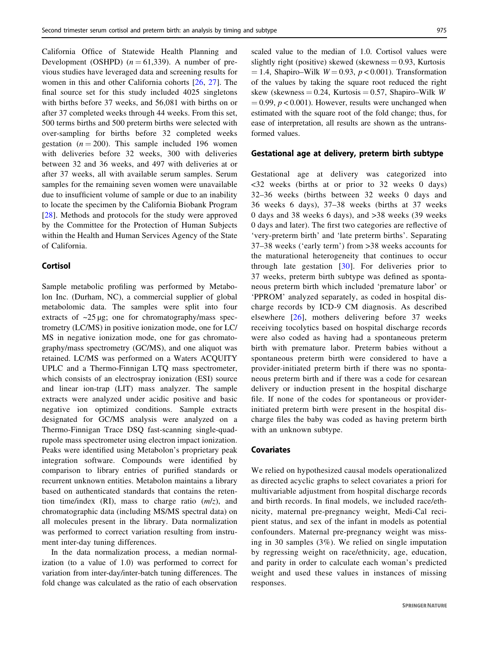Development (OSHPD)  $(n = 61,339)$ . A number of previous studies have leveraged data and screening results for women in this and other California cohorts [[26,](#page-7-0) [27](#page-7-0)]. The final source set for this study included 4025 singletons with births before 37 weeks, and 56,081 with births on or after 37 completed weeks through 44 weeks. From this set, 500 terms births and 500 preterm births were selected with over-sampling for births before 32 completed weeks gestation ( $n = 200$ ). This sample included 196 women with deliveries before 32 weeks, 300 with deliveries between 32 and 36 weeks, and 497 with deliveries at or after 37 weeks, all with available serum samples. Serum samples for the remaining seven women were unavailable due to insufficient volume of sample or due to an inability to locate the specimen by the California Biobank Program [\[28\]](#page-7-0). Methods and protocols for the study were approved by the Committee for the Protection of Human Subjects within the Health and Human Services Agency of the State of California.

California Office of Statewide Health Planning and

# Cortisol

Sample metabolic profiling was performed by Metabolon Inc. (Durham, NC), a commercial supplier of global metabolomic data. The samples were split into four extracts of  $\sim$ 25 μg; one for chromatography/mass spectrometry (LC/MS) in positive ionization mode, one for LC/ MS in negative ionization mode, one for gas chromatography/mass spectrometry (GC/MS), and one aliquot was retained. LC/MS was performed on a Waters ACQUITY UPLC and a Thermo-Finnigan LTQ mass spectrometer, which consists of an electrospray ionization (ESI) source and linear ion-trap (LIT) mass analyzer. The sample extracts were analyzed under acidic positive and basic negative ion optimized conditions. Sample extracts designated for GC/MS analysis were analyzed on a Thermo-Finnigan Trace DSQ fast-scanning single-quadrupole mass spectrometer using electron impact ionization. Peaks were identified using Metabolon's proprietary peak integration software. Compounds were identified by comparison to library entries of purified standards or recurrent unknown entities. Metabolon maintains a library based on authenticated standards that contains the retention time/index (RI), mass to charge ratio  $(m/z)$ , and chromatographic data (including MS/MS spectral data) on all molecules present in the library. Data normalization was performed to correct variation resulting from instrument inter-day tuning differences.

In the data normalization process, a median normalization (to a value of 1.0) was performed to correct for variation from inter-day/inter-batch tuning differences. The fold change was calculated as the ratio of each observation

scaled value to the median of 1.0. Cortisol values were slightly right (positive) skewed (skewness  $= 0.93$ , Kurtosis  $= 1.4$ , Shapiro–Wilk  $W = 0.93$ ,  $p < 0.001$ ). Transformation of the values by taking the square root reduced the right skew (skewness = 0.24, Kurtosis = 0.57, Shapiro–Wilk W  $= 0.99$ ,  $p < 0.001$ ). However, results were unchanged when estimated with the square root of the fold change; thus, for ease of interpretation, all results are shown as the untransformed values.

# Gestational age at delivery, preterm birth subtype

Gestational age at delivery was categorized into <32 weeks (births at or prior to 32 weeks 0 days) 32–36 weeks (births between 32 weeks 0 days and 36 weeks 6 days), 37–38 weeks (births at 37 weeks 0 days and 38 weeks 6 days), and >38 weeks (39 weeks 0 days and later). The first two categories are reflective of 'very-preterm birth' and 'late preterm births'. Separating 37–38 weeks ('early term') from >38 weeks accounts for the maturational heterogeneity that continues to occur through late gestation  $[30]$  $[30]$  $[30]$ . For deliveries prior to 37 weeks, preterm birth subtype was defined as spontaneous preterm birth which included 'premature labor' or 'PPROM' analyzed separately, as coded in hospital discharge records by ICD-9 CM diagnosis. As described elsewhere [\[26\]](#page-7-0), mothers delivering before 37 weeks receiving tocolytics based on hospital discharge records were also coded as having had a spontaneous preterm birth with premature labor. Preterm babies without a spontaneous preterm birth were considered to have a provider-initiated preterm birth if there was no spontaneous preterm birth and if there was a code for cesarean delivery or induction present in the hospital discharge file. If none of the codes for spontaneous or providerinitiated preterm birth were present in the hospital discharge files the baby was coded as having preterm birth with an unknown subtype.

# Covariates

We relied on hypothesized causal models operationalized as directed acyclic graphs to select covariates a priori for multivariable adjustment from hospital discharge records and birth records. In final models, we included race/ethnicity, maternal pre-pregnancy weight, Medi-Cal recipient status, and sex of the infant in models as potential confounders. Maternal pre-pregnancy weight was missing in 30 samples (3%). We relied on single imputation by regressing weight on race/ethnicity, age, education, and parity in order to calculate each woman's predicted weight and used these values in instances of missing responses.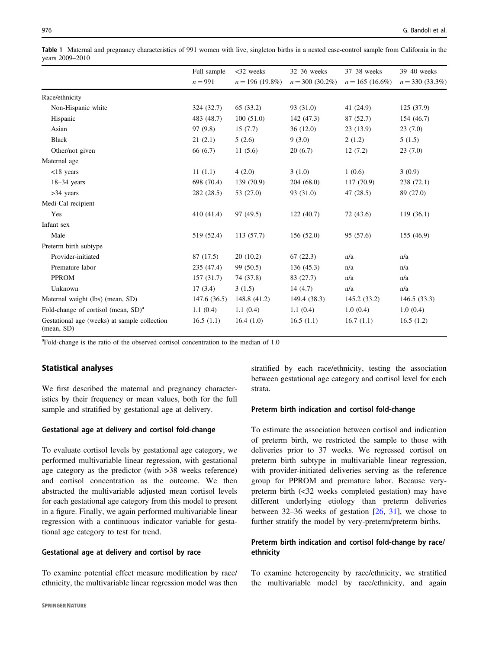<span id="page-3-0"></span>Table 1 Maternal and pregnancy characteristics of 991 women with live, singleton births in a nested case-control sample from California in the years 2009–2010

|                                                            | Full sample | $<$ 32 weeks      | $32-36$ weeks      | $37-38$ weeks     | 39-40 weeks       |
|------------------------------------------------------------|-------------|-------------------|--------------------|-------------------|-------------------|
|                                                            | $n = 991$   | $n = 196(19.8\%)$ | $n = 300 (30.2\%)$ | $n = 165$ (16.6%) | $n = 330(33.3\%)$ |
| Race/ethnicity                                             |             |                   |                    |                   |                   |
| Non-Hispanic white                                         | 324(32.7)   | 65 (33.2)         | 93 (31.0)          | 41 (24.9)         | 125(37.9)         |
| Hispanic                                                   | 483 (48.7)  | 100(51.0)         | 142 (47.3)         | 87 (52.7)         | 154 (46.7)        |
| Asian                                                      | 97 (9.8)    | 15(7.7)           | 36(12.0)           | 23(13.9)          | 23(7.0)           |
| <b>Black</b>                                               | 21(2.1)     | 5(2.6)            | 9(3.0)             | 2(1.2)            | 5(1.5)            |
| Other/not given                                            | 66 (6.7)    | 11(5.6)           | 20(6.7)            | 12(7.2)           | 23(7.0)           |
| Maternal age                                               |             |                   |                    |                   |                   |
| $<$ 18 years                                               | 11(1.1)     | 4(2.0)            | 3(1.0)             | 1(0.6)            | 3(0.9)            |
| $18-34$ years                                              | 698 (70.4)  | 139 (70.9)        | 204(68.0)          | 117 (70.9)        | 238 (72.1)        |
| $>34$ years                                                | 282 (28.5)  | 53 (27.0)         | 93 (31.0)          | 47(28.5)          | 89 (27.0)         |
| Medi-Cal recipient                                         |             |                   |                    |                   |                   |
| Yes                                                        | 410(41.4)   | 97 (49.5)         | 122(40.7)          | 72 (43.6)         | 119(36.1)         |
| Infant sex                                                 |             |                   |                    |                   |                   |
| Male                                                       | 519 (52.4)  | 113(57.7)         | 156(52.0)          | 95 (57.6)         | 155(46.9)         |
| Preterm birth subtype                                      |             |                   |                    |                   |                   |
| Provider-initiated                                         | 87 (17.5)   | 20(10.2)          | 67(22.3)           | n/a               | n/a               |
| Premature labor                                            | 235 (47.4)  | 99 (50.5)         | 136(45.3)          | n/a               | n/a               |
| <b>PPROM</b>                                               | 157(31.7)   | 74 (37.8)         | 83 (27.7)          | n/a               | n/a               |
| Unknown                                                    | 17(3.4)     | 3(1.5)            | 14(4.7)            | n/a               | n/a               |
| Maternal weight (lbs) (mean, SD)                           | 147.6(36.5) | 148.8 (41.2)      | 149.4 (38.3)       | 145.2(33.2)       | 146.5(33.3)       |
| Fold-change of cortisol (mean, $SD$ ) <sup>a</sup>         | 1.1(0.4)    | 1.1(0.4)          | 1.1(0.4)           | 1.0(0.4)          | 1.0(0.4)          |
| Gestational age (weeks) at sample collection<br>(mean, SD) | 16.5(1.1)   | 16.4(1.0)         | 16.5(1.1)          | 16.7(1.1)         | 16.5(1.2)         |

<sup>a</sup>Fold-change is the ratio of the observed cortisol concentration to the median of 1.0

# Statistical analyses

We first described the maternal and pregnancy characteristics by their frequency or mean values, both for the full sample and stratified by gestational age at delivery.

#### Gestational age at delivery and cortisol fold-change

To evaluate cortisol levels by gestational age category, we performed multivariable linear regression, with gestational age category as the predictor (with >38 weeks reference) and cortisol concentration as the outcome. We then abstracted the multivariable adjusted mean cortisol levels for each gestational age category from this model to present in a figure. Finally, we again performed multivariable linear regression with a continuous indicator variable for gestational age category to test for trend.

## Gestational age at delivery and cortisol by race

To examine potential effect measure modification by race/ ethnicity, the multivariable linear regression model was then stratified by each race/ethnicity, testing the association between gestational age category and cortisol level for each strata.

#### Preterm birth indication and cortisol fold-change

To estimate the association between cortisol and indication of preterm birth, we restricted the sample to those with deliveries prior to 37 weeks. We regressed cortisol on preterm birth subtype in multivariable linear regression, with provider-initiated deliveries serving as the reference group for PPROM and premature labor. Because verypreterm birth (<32 weeks completed gestation) may have different underlying etiology than preterm deliveries between  $32-36$  weeks of gestation  $[26, 31]$  $[26, 31]$  $[26, 31]$ , we chose to further stratify the model by very-preterm/preterm births.

# Preterm birth indication and cortisol fold-change by race/ ethnicity

To examine heterogeneity by race/ethnicity, we stratified the multivariable model by race/ethnicity, and again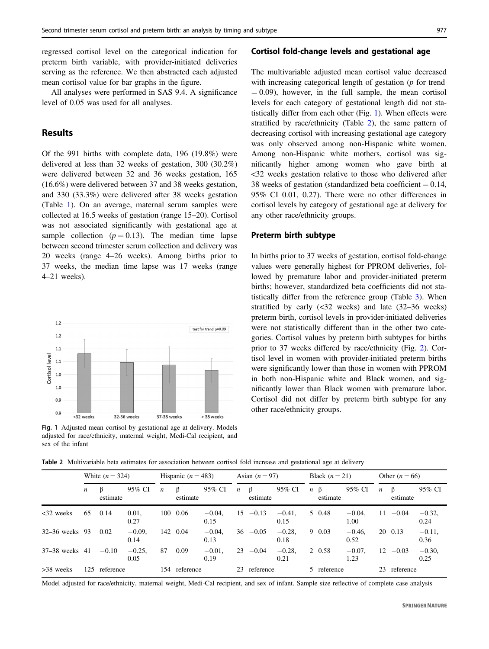regressed cortisol level on the categorical indication for preterm birth variable, with provider-initiated deliveries serving as the reference. We then abstracted each adjusted mean cortisol value for bar graphs in the figure.

All analyses were performed in SAS 9.4. A significance level of 0.05 was used for all analyses.

# Results

Of the 991 births with complete data, 196 (19.8%) were delivered at less than 32 weeks of gestation, 300 (30.2%) were delivered between 32 and 36 weeks gestation, 165 (16.6%) were delivered between 37 and 38 weeks gestation, and 330 (33.3%) were delivered after 38 weeks gestation (Table [1](#page-3-0)). On an average, maternal serum samples were collected at 16.5 weeks of gestation (range 15–20). Cortisol was not associated significantly with gestational age at sample collection  $(p = 0.13)$ . The median time lapse between second trimester serum collection and delivery was 20 weeks (range 4–26 weeks). Among births prior to 37 weeks, the median time lapse was 17 weeks (range 4–21 weeks).



Fig. 1 Adjusted mean cortisol by gestational age at delivery. Models adjusted for race/ethnicity, maternal weight, Medi-Cal recipient, and sex of the infant

# Cortisol fold-change levels and gestational age

The multivariable adjusted mean cortisol value decreased with increasing categorical length of gestation (p for trend  $= 0.09$ ), however, in the full sample, the mean cortisol levels for each category of gestational length did not statistically differ from each other (Fig. 1). When effects were stratified by race/ethnicity (Table 2), the same pattern of decreasing cortisol with increasing gestational age category was only observed among non-Hispanic white women. Among non-Hispanic white mothers, cortisol was significantly higher among women who gave birth at <32 weeks gestation relative to those who delivered after 38 weeks of gestation (standardized beta coefficient  $= 0.14$ , 95% CI 0.01, 0.27). There were no other differences in cortisol levels by category of gestational age at delivery for any other race/ethnicity groups.

# Preterm birth subtype

In births prior to 37 weeks of gestation, cortisol fold-change values were generally highest for PPROM deliveries, followed by premature labor and provider-initiated preterm births; however, standardized beta coefficients did not statistically differ from the reference group (Table [3\)](#page-5-0). When stratified by early (<32 weeks) and late (32–36 weeks) preterm birth, cortisol levels in provider-initiated deliveries were not statistically different than in the other two categories. Cortisol values by preterm birth subtypes for births prior to 37 weeks differed by race/ethnicity (Fig. [2\)](#page-6-0). Cortisol level in women with provider-initiated preterm births were significantly lower than those in women with PPROM in both non-Hispanic white and Black women, and significantly lower than Black women with premature labor. Cortisol did not differ by preterm birth subtype for any other race/ethnicity groups.

Table 2 Multivariable beta estimates for association between cortisol fold increase and gestational age at delivery

|                    |     | White $(n = 324)$ |                  | Hispanic $(n = 483)$ |               | Asian $(n=97)$    |                  |                     | Black $(n=21)$    |                  | Other $(n = 66)$    |                   |                  |               |                   |
|--------------------|-----|-------------------|------------------|----------------------|---------------|-------------------|------------------|---------------------|-------------------|------------------|---------------------|-------------------|------------------|---------------|-------------------|
|                    | n   | estimate          | 95% CI           | $\boldsymbol{n}$     | ß<br>estimate | 95% CI            | $\boldsymbol{n}$ | $\beta$<br>estimate | 95% CI            | $\boldsymbol{n}$ | $\beta$<br>estimate | 95% CI            | $\boldsymbol{n}$ | β<br>estimate | 95% CI            |
| $<32$ weeks        | 65  | 0.14              | 0.01.<br>0.27    |                      | 100 0.06      | $-0.04.$<br>0.15  | 15               | $-0.13$             | $-0.41$ .<br>0.15 |                  | 5 0.48              | $-0.04.$<br>1.00  | 11               | $-0.04$       | $-0.32,$<br>0.24  |
| $32 - 36$ weeks 93 |     | 0.02              | $-0.09.$<br>0.14 | 142                  | 0.04          | $-0.04.$<br>0.13  |                  | $36 - 0.05$         | $-0.28$ .<br>0.18 |                  | 90.03               | $-0.46.$<br>0.52  |                  | 20 0.13       | $-0.11$ ,<br>0.36 |
| 37–38 weeks 41     |     | $-0.10$           | $-0.25,$<br>0.05 | 87                   | 0.09          | $-0.01$ ,<br>0.19 | 23               | $-0.04$             | $-0.28.$<br>0.21  |                  | 2 0.58              | $-0.07$ .<br>1.23 | 12               | $-0.03$       | $-0.30,$<br>0.25  |
| $>38$ weeks        | 125 | reference         |                  | 154                  | reference     |                   | 23               | reference           |                   |                  | 5 reference         |                   | 23.              | reference     |                   |

Model adjusted for race/ethnicity, maternal weight, Medi-Cal recipient, and sex of infant. Sample size reflective of complete case analysis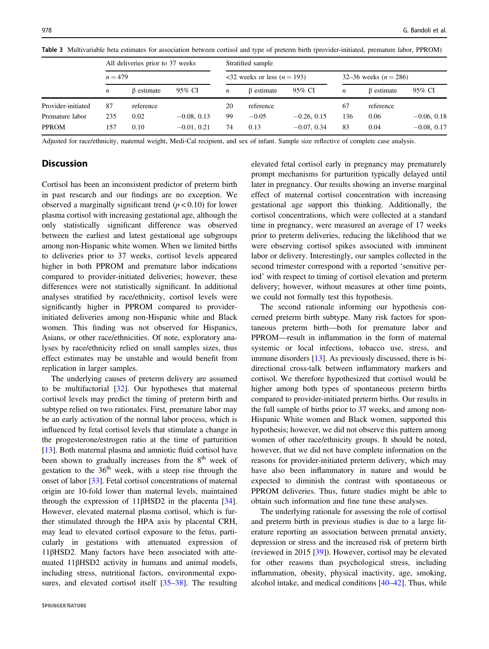|                    | All deliveries prior to 37 weeks<br>$n = 479$ |            |               |    | Stratified sample                                    |               |                         |                  |               |  |  |  |  |
|--------------------|-----------------------------------------------|------------|---------------|----|------------------------------------------------------|---------------|-------------------------|------------------|---------------|--|--|--|--|
|                    |                                               |            |               |    | $\langle 32 \rangle$ weeks or less ( <i>n</i> = 193) |               | 32–36 weeks $(n = 286)$ |                  |               |  |  |  |  |
|                    | n                                             | β estimate | 95% CI        | n  | $\beta$ estimate                                     | 95% CI        | n                       | $\beta$ estimate | 95% CI        |  |  |  |  |
| Provider-initiated | 87                                            | reference  |               | 20 | reference                                            |               | 67                      | reference        |               |  |  |  |  |
| Premature labor    | 235                                           | 0.02       | $-0.08, 0.13$ | 99 | $-0.05$                                              | $-0.26, 0.15$ | 136                     | 0.06             | $-0.06, 0.18$ |  |  |  |  |
| <b>PPROM</b>       | 157                                           | 0.10       | $-0.01, 0.21$ | 74 | 0.13                                                 | $-0.07, 0.34$ | 83                      | 0.04             | $-0.08, 0.17$ |  |  |  |  |

<span id="page-5-0"></span>Table 3 Multivariable beta estimates for association between cortisol and type of preterm birth (provider-initiated, premature labor, PPROM)

Adjusted for race/ethnicity, maternal weight, Medi-Cal recipient, and sex of infant. Sample size reflective of complete case analysis.

# **Discussion**

Cortisol has been an inconsistent predictor of preterm birth in past research and our findings are no exception. We observed a marginally significant trend ( $p < 0.10$ ) for lower plasma cortisol with increasing gestational age, although the only statistically significant difference was observed between the earliest and latest gestational age subgroups among non-Hispanic white women. When we limited births to deliveries prior to 37 weeks, cortisol levels appeared higher in both PPROM and premature labor indications compared to provider-initiated deliveries; however, these differences were not statistically significant. In additional analyses stratified by race/ethnicity, cortisol levels were significantly higher in PPROM compared to providerinitiated deliveries among non-Hispanic white and Black women. This finding was not observed for Hispanics, Asians, or other race/ethnicities. Of note, exploratory analyses by race/ethnicity relied on small samples sizes, thus effect estimates may be unstable and would benefit from replication in larger samples.

The underlying causes of preterm delivery are assumed to be multifactorial [[32\]](#page-7-0). Our hypotheses that maternal cortisol levels may predict the timing of preterm birth and subtype relied on two rationales. First, premature labor may be an early activation of the normal labor process, which is influenced by fetal cortisol levels that stimulate a change in the progesterone/estrogen ratio at the time of parturition [\[13](#page-7-0)]. Both maternal plasma and amniotic fluid cortisol have been shown to gradually increases from the  $8<sup>th</sup>$  week of gestation to the  $36<sup>th</sup>$  week, with a steep rise through the onset of labor [\[33](#page-7-0)]. Fetal cortisol concentrations of maternal origin are 10-fold lower than maternal levels, maintained through the expression of  $11\beta$ HSD2 in the placenta [\[34](#page-7-0)]. However, elevated maternal plasma cortisol, which is further stimulated through the HPA axis by placental CRH, may lead to elevated cortisol exposure to the fetus, particularly in gestations with attenuated expression of 11βHSD2. Many factors have been associated with attenuated 11βHSD2 activity in humans and animal models, including stress, nutritional factors, environmental exposures, and elevated cortisol itself [\[35](#page-7-0)–[38](#page-7-0)]. The resulting

elevated fetal cortisol early in pregnancy may prematurely prompt mechanisms for parturition typically delayed until later in pregnancy. Our results showing an inverse marginal effect of maternal cortisol concentration with increasing gestational age support this thinking. Additionally, the cortisol concentrations, which were collected at a standard time in pregnancy, were measured an average of 17 weeks prior to preterm deliveries, reducing the likelihood that we were observing cortisol spikes associated with imminent labor or delivery. Interestingly, our samples collected in the second trimester correspond with a reported 'sensitive period' with respect to timing of cortisol elevation and preterm delivery; however, without measures at other time points, we could not formally test this hypothesis.

The second rationale informing our hypothesis concerned preterm birth subtype. Many risk factors for spontaneous preterm birth—both for premature labor and PPROM—result in inflammation in the form of maternal systemic or local infections, tobacco use, stress, and immune disorders [[13\]](#page-7-0). As previously discussed, there is bidirectional cross-talk between inflammatory markers and cortisol. We therefore hypothesized that cortisol would be higher among both types of spontaneous preterm births compared to provider-initiated preterm births. Our results in the full sample of births prior to 37 weeks, and among non-Hispanic White women and Black women, supported this hypothesis; however, we did not observe this pattern among women of other race/ethnicity groups. It should be noted, however, that we did not have complete information on the reasons for provider-initiated preterm delivery, which may have also been inflammatory in nature and would be expected to diminish the contrast with spontaneous or PPROM deliveries. Thus, future studies might be able to obtain such information and fine tune these analyses.

The underlying rationale for assessing the role of cortisol and preterm birth in previous studies is due to a large literature reporting an association between prenatal anxiety, depression or stress and the increased risk of preterm birth (reviewed in 2015 [\[39](#page-7-0)]). However, cortisol may be elevated for other reasons than psychological stress, including inflammation, obesity, physical inactivity, age, smoking, alcohol intake, and medical conditions [\[40](#page-7-0)–[42](#page-8-0)]. Thus, while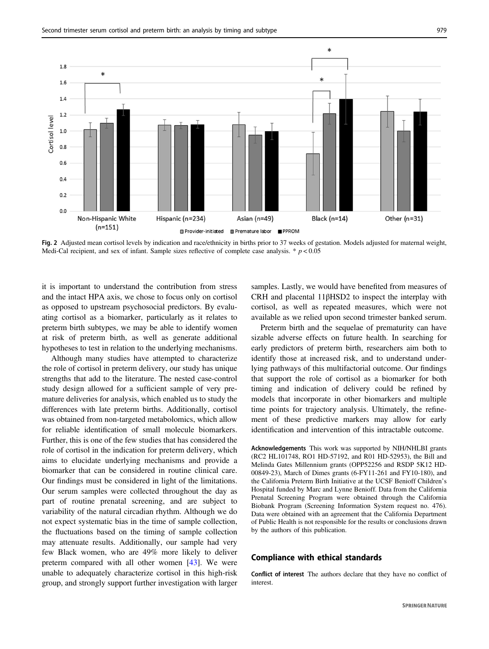<span id="page-6-0"></span>

Fig. 2 Adjusted mean cortisol levels by indication and race/ethnicity in births prior to 37 weeks of gestation. Models adjusted for maternal weight, Medi-Cal recipient, and sex of infant. Sample sizes reflective of complete case analysis. \*  $p < 0.05$ 

it is important to understand the contribution from stress and the intact HPA axis, we chose to focus only on cortisol as opposed to upstream psychosocial predictors. By evaluating cortisol as a biomarker, particularly as it relates to preterm birth subtypes, we may be able to identify women at risk of preterm birth, as well as generate additional hypotheses to test in relation to the underlying mechanisms.

Although many studies have attempted to characterize the role of cortisol in preterm delivery, our study has unique strengths that add to the literature. The nested case-control study design allowed for a sufficient sample of very premature deliveries for analysis, which enabled us to study the differences with late preterm births. Additionally, cortisol was obtained from non-targeted metabolomics, which allow for reliable identification of small molecule biomarkers. Further, this is one of the few studies that has considered the role of cortisol in the indication for preterm delivery, which aims to elucidate underlying mechanisms and provide a biomarker that can be considered in routine clinical care. Our findings must be considered in light of the limitations. Our serum samples were collected throughout the day as part of routine prenatal screening, and are subject to variability of the natural circadian rhythm. Although we do not expect systematic bias in the time of sample collection, the fluctuations based on the timing of sample collection may attenuate results. Additionally, our sample had very few Black women, who are 49% more likely to deliver preterm compared with all other women [[43\]](#page-8-0). We were unable to adequately characterize cortisol in this high-risk group, and strongly support further investigation with larger samples. Lastly, we would have benefited from measures of CRH and placental 11βHSD2 to inspect the interplay with cortisol, as well as repeated measures, which were not available as we relied upon second trimester banked serum.

Preterm birth and the sequelae of prematurity can have sizable adverse effects on future health. In searching for early predictors of preterm birth, researchers aim both to identify those at increased risk, and to understand underlying pathways of this multifactorial outcome. Our findings that support the role of cortisol as a biomarker for both timing and indication of delivery could be refined by models that incorporate in other biomarkers and multiple time points for trajectory analysis. Ultimately, the refinement of these predictive markers may allow for early identification and intervention of this intractable outcome.

Acknowledgements This work was supported by NIH/NHLBI grants (RC2 HL101748, RO1 HD-57192, and R01 HD-52953), the Bill and Melinda Gates Millennium grants (OPP52256 and RSDP 5K12 HD-00849-23), March of Dimes grants (6-FY11-261 and FY10-180), and the California Preterm Birth Initiative at the UCSF Benioff Children's Hospital funded by Marc and Lynne Benioff. Data from the California Prenatal Screening Program were obtained through the California Biobank Program (Screening Information System request no. 476). Data were obtained with an agreement that the California Department of Public Health is not responsible for the results or conclusions drawn by the authors of this publication.

#### Compliance with ethical standards

Conflict of interest The authors declare that they have no conflict of interest.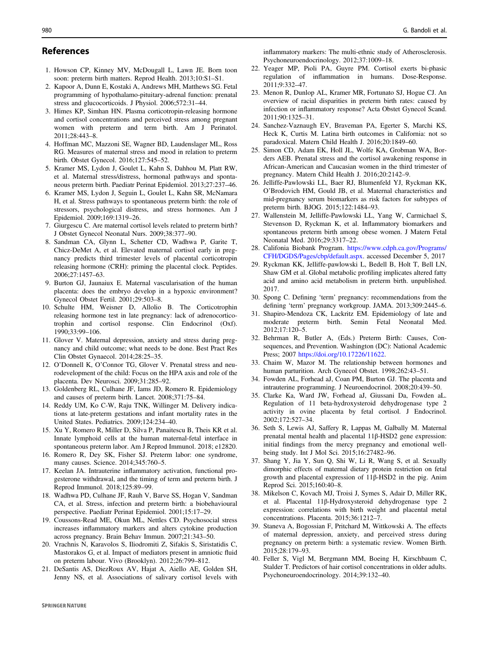# <span id="page-7-0"></span>References

- 1. Howson CP, Kinney MV, McDougall L, Lawn JE. Born toon soon: preterm birth matters. Reprod Health. 2013;10:S1–S1.
- 2. Kapoor A, Dunn E, Kostaki A, Andrews MH, Matthews SG. Fetal programming of hypothalamo-pituitary-adrenal function: prenatal stress and glucocorticoids. J Physiol. 2006;572:31–44.
- 3. Himes KP, Simhan HN. Plasma corticotropin-releasing hormone and cortisol concentrations and perceived stress among pregnant women with preterm and term birth. Am J Perinatol. 2011;28:443–8.
- 4. Hoffman MC, Mazzoni SE, Wagner BD, Laudenslager ML, Ross RG. Measures of maternal stress and mood in relation to preterm birth. Obstet Gynecol. 2016;127:545–52.
- 5. Kramer MS, Lydon J, Goulet L, Kahn S, Dahhou M, Platt RW, et al. Maternal stress/distress, hormonal pathways and spontaneous preterm birth. Paediatr Perinat Epidemiol. 2013;27:237–46.
- 6. Kramer MS, Lydon J, Seguin L, Goulet L, Kahn SR, McNamara H, et al. Stress pathways to spontaneous preterm birth: the role of stressors, psychological distress, and stress hormones. Am J Epidemiol. 2009;169:1319–26.
- 7. Giurgescu C. Are maternal cortisol levels related to preterm birth? J Obstet Gynecol Neonatal Nurs. 2009;38:377–90.
- 8. Sandman CA, Glynn L, Schetter CD, Wadhwa P, Garite T, Chicz-DeMet A, et al. Elevated maternal cortisol early in pregnancy predicts third trimester levels of placental corticotropin releasing hormone (CRH): priming the placental clock. Peptides. 2006;27:1457–63.
- 9. Burton GJ, Jaunaiux E. Maternal vascularisation of the human placenta: does the embryo develop in a hypoxic environment? Gynecol Obstet Fertil. 2001;29:503–8.
- 10. Schulte HM, Weisner D, Allolio B. The Corticotrophin releasing hormone test in late pregnancy: lack of adrenocorticotrophin and cortisol response. Clin Endocrinol (Oxf). 1990;33:99–106.
- 11. Glover V. Maternal depression, anxiety and stress during pregnancy and child outcome; what needs to be done. Best Pract Res Clin Obstet Gynaecol. 2014;28:25–35.
- 12. O'Donnell K, O'Connor TG, Glover V. Prenatal stress and neurodevelopment of the child: Focus on the HPA axis and role of the placenta. Dev Neurosci. 2009;31:285–92.
- 13. Goldenberg RL, Culhane JF, Iams JD, Romero R. Epidemiology and causes of preterm birth. Lancet. 2008;371:75–84.
- 14. Reddy UM, Ko C-W, Raju TNK, Willinger M. Delivery indications at late-preterm gestations and infant mortality rates in the United States. Pediatrics. 2009;124:234–40.
- 15. Xu Y, Romero R, Miller D, Silva P, Panaitescu B, Theis KR et al. Innate lymphoid cells at the human maternal-fetal interface in spontaneous preterm labor. Am J Reprod Immunol. 2018; e12820.
- 16. Romero R, Dey SK, Fisher SJ. Preterm labor: one syndrome, many causes. Science. 2014;345:760–5.
- 17. Keelan JA. Intrauterine inflammatory activation, functional progesterone withdrawal, and the timing of term and preterm birth. J Reprod Immunol. 2018;125:89–99.
- 18. Wadhwa PD, Culhane JF, Rauh V, Barve SS, Hogan V, Sandman CA, et al. Stress, infection and preterm birth: a biobehavioural perspective. Paediatr Perinat Epidemiol. 2001;15:17–29.
- 19. Coussons-Read ME, Okun ML, Nettles CD. Psychosocial stress increases inflammatory markers and alters cytokine production across pregnancy. Brain Behav Immun. 2007;21:343–50.
- 20. Vrachnis N, Karavolos S, Iliodromiti Z, Sifakis S, Siristatidis C, Mastorakos G, et al. Impact of mediators present in amniotic fluid on preterm labour. Vivo (Brooklyn). 2012;26:799–812.
- 21. DeSantis AS, DiezRoux AV, Hajat A, Aiello AE, Golden SH, Jenny NS, et al. Associations of salivary cortisol levels with

inflammatory markers: The multi-ethnic study of Atherosclerosis. Psychoneuroendocrinology. 2012;37:1009–18.

- 22. Yeager MP, Pioli PA, Guyre PM. Cortisol exerts bi-phasic regulation of inflammation in humans. Dose-Response. 2011;9:332–47.
- 23. Menon R, Dunlop AL, Kramer MR, Fortunato SJ, Hogue CJ. An overview of racial disparities in preterm birth rates: caused by infection or inflammatory response? Acta Obstet Gynecol Scand. 2011;90:1325–31.
- 24. Sanchez-Vaznaugh EV, Braveman PA, Egerter S, Marchi KS, Heck K, Curtis M. Latina birth outcomes in California: not so paradoxical. Matern Child Health J. 2016;20:1849–60.
- 25. Simon CD, Adam EK, Holl JL, Wolfe KA, Grobman WA, Borders AEB. Prenatal stress and the cortisol awakening response in African-American and Caucasian women in the third trimester of pregnancy. Matern Child Health J. 2016;20:2142–9.
- 26. Jelliffe-Pawlowski LL, Baer RJ, Blumenfeld YJ, Ryckman KK, O'Brodovich HM, Gould JB, et al. Maternal characteristics and mid-pregnancy serum biomarkers as risk factors for subtypes of preterm birth. BJOG. 2015;122:1484–93.
- 27. Wallenstein M, Jelliffe-Pawlowski LL, Yang W, Carmichael S, Stevenson D, Ryckman K, et al. Inflammatory biomarkers and spontaneous preterm birth among obese women. J Matern Fetal Neonatal Med. 2016;29:3317–22.
- 28. Califonia Biobank Program. [https://www.cdph.ca.gov/Programs/](https://www.cdph.ca.gov/Programs/CFH/DGDS/Pages/cbp/default.aspx) [CFH/DGDS/Pages/cbp/default.aspx](https://www.cdph.ca.gov/Programs/CFH/DGDS/Pages/cbp/default.aspx). accessed December 5, 2017
- 29. Ryckman KK, Jelliffe-pawlowski L, Bedell B, Holt T, Bell LN, Shaw GM et al. Global metabolic profiling implicates altered fatty acid and amino acid metabolism in preterm birth. unpublished. 2017.
- 30. Spong C. Defining 'term' pregnancy: recommendations from the defining 'term' pregnancy workgroup. JAMA. 2013;309:2445–6.
- 31. Shapiro-Mendoza CK, Lackritz EM. Epidemiology of late and moderate preterm birth. Semin Fetal Neonatal Med. 2012;17:120–5.
- 32. Behrman R, Butler A, (Eds.) Preterm Birth: Causes, Consequences, and Prevention. Washington (DC): National Academic Press; 2007 <https://doi.org/10.17226/11622>.
- 33. Chaim W, Mazor M. The relationship between hormones and human parturition. Arch Gynecol Obstet. 1998;262:43–51.
- 34. Fowden AL, Forhead aJ, Coan PM, Burton GJ. The placenta and intrauterine programming. J Neuroendocrinol. 2008;20:439–50.
- 35. Clarke Ka, Ward JW, Forhead aJ, Giussani Da, Fowden aL. Regulation of 11 beta-hydroxysteroid dehydrogenase type 2 activity in ovine placenta by fetal cortisol. J Endocrinol. 2002;172:527–34.
- 36. Seth S, Lewis AJ, Saffery R, Lappas M, Galbally M. Maternal prenatal mental health and placental 11β-HSD2 gene expression: initial findings from the mercy pregnancy and emotional wellbeing study. Int J Mol Sci. 2015;16:27482–96.
- 37. Shang Y, Jia Y, Sun Q, Shi W, Li R, Wang S, et al. Sexually dimorphic effects of maternal dietary protein restriction on fetal growth and placental expression of 11β-HSD2 in the pig. Anim Reprod Sci. 2015;160:40–8.
- 38. Mikelson C, Kovach MJ, Troisi J, Symes S, Adair D, Miller RK, et al. Placental 11β-Hydroxysteroid dehydrogenase type 2 expression: correlations with birth weight and placental metal concentrations. Placenta. 2015;36:1212–7.
- 39. Staneva A, Bogossian F, Pritchard M, Wittkowski A. The effects of maternal depression, anxiety, and perceived stress during pregnancy on preterm birth: a systematic review. Women Birth. 2015;28:179–93.
- 40. Feller S, Vigl M, Bergmann MM, Boeing H, Kirschbaum C, Stalder T. Predictors of hair cortisol concentrations in older adults. Psychoneuroendocrinology. 2014;39:132–40.